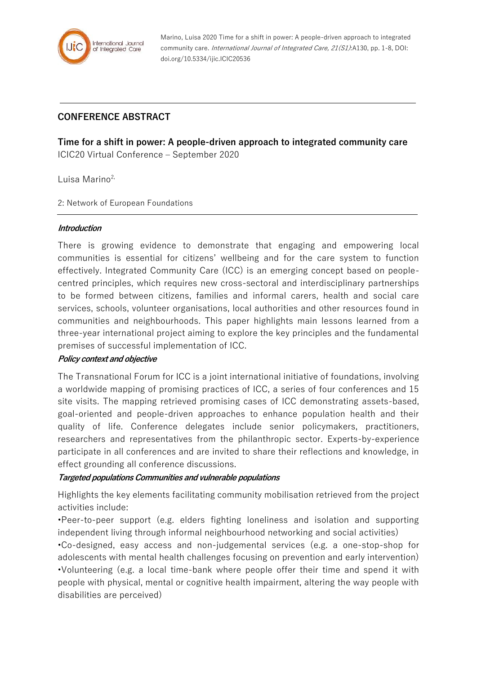

Marino, Luisa 2020 Time for a shift in power: A people-driven approach to integrated community care. International Journal of Integrated Care, 21(S1):A130, pp. 1-8, DOI: doi.org/10.5334/ijic.ICIC20536

# **CONFERENCE ABSTRACT**

**Time for a shift in power: A people-driven approach to integrated community care** ICIC20 Virtual Conference – September 2020

Luisa Marino $2$ ,

2: Network of European Foundations

### **Introduction**

There is growing evidence to demonstrate that engaging and empowering local communities is essential for citizens' wellbeing and for the care system to function effectively. Integrated Community Care (ICC) is an emerging concept based on peoplecentred principles, which requires new cross-sectoral and interdisciplinary partnerships to be formed between citizens, families and informal carers, health and social care services, schools, volunteer organisations, local authorities and other resources found in communities and neighbourhoods. This paper highlights main lessons learned from a three-year international project aiming to explore the key principles and the fundamental premises of successful implementation of ICC.

# **Policy context and objective**

The Transnational Forum for ICC is a joint international initiative of foundations, involving a worldwide mapping of promising practices of ICC, a series of four conferences and 15 site visits. The mapping retrieved promising cases of ICC demonstrating assets-based, goal-oriented and people-driven approaches to enhance population health and their quality of life. Conference delegates include senior policymakers, practitioners, researchers and representatives from the philanthropic sector. Experts-by-experience participate in all conferences and are invited to share their reflections and knowledge, in effect grounding all conference discussions.

# **Targeted populations Communities and vulnerable populations**

Highlights the key elements facilitating community mobilisation retrieved from the project activities include:

•Peer-to-peer support (e.g. elders fighting loneliness and isolation and supporting independent living through informal neighbourhood networking and social activities)

•Co-designed, easy access and non-judgemental services (e.g. a one-stop-shop for adolescents with mental health challenges focusing on prevention and early intervention) •Volunteering (e.g. a local time-bank where people offer their time and spend it with people with physical, mental or cognitive health impairment, altering the way people with disabilities are perceived)